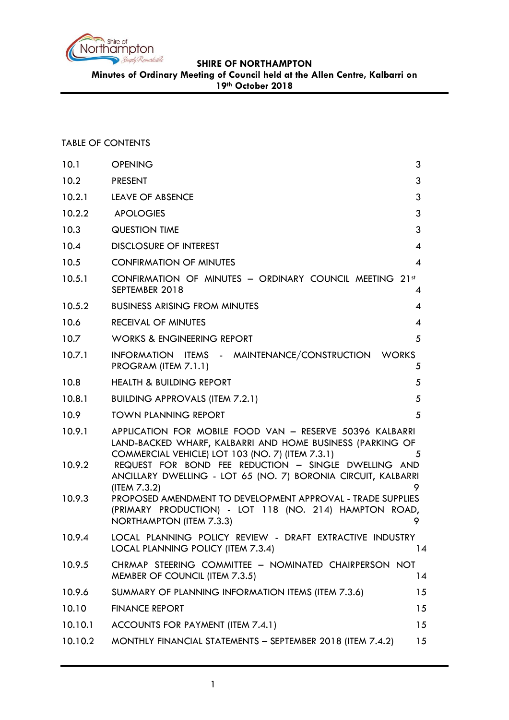

**Minutes of Ordinary Meeting of Council held at the Allen Centre, Kalbarri on** 

**19th October 2018**

# TABLE OF CONTENTS

| 10.1    | <b>OPENING</b>                                                                                                                                                            | 3  |
|---------|---------------------------------------------------------------------------------------------------------------------------------------------------------------------------|----|
| 10.2    | <b>PRESENT</b>                                                                                                                                                            | 3  |
| 10.2.1  | LEAVE OF ABSENCE                                                                                                                                                          | 3  |
| 10.2.2  | <b>APOLOGIES</b>                                                                                                                                                          | 3  |
| 10.3    | QUESTION TIME                                                                                                                                                             | 3  |
| 10.4    | <b>DISCLOSURE OF INTEREST</b>                                                                                                                                             | 4  |
| 10.5    | <b>CONFIRMATION OF MINUTES</b>                                                                                                                                            | 4  |
| 10.5.1  | CONFIRMATION OF MINUTES - ORDINARY COUNCIL MEETING 21st<br>SEPTEMBER 2018                                                                                                 | 4  |
| 10.5.2  | <b>BUSINESS ARISING FROM MINUTES</b>                                                                                                                                      | 4  |
| 10.6    | <b>RECEIVAL OF MINUTES</b>                                                                                                                                                | 4  |
| 10.7    | <b>WORKS &amp; ENGINEERING REPORT</b>                                                                                                                                     | 5  |
| 10.7.1  | INFORMATION ITEMS - MAINTENANCE/CONSTRUCTION WORKS<br>PROGRAM (ITEM 7.1.1)                                                                                                | 5  |
| 10.8    | <b>HEALTH &amp; BUILDING REPORT</b>                                                                                                                                       | 5  |
| 10.8.1  | <b>BUILDING APPROVALS (ITEM 7.2.1)</b>                                                                                                                                    | 5  |
| 10.9    | <b>TOWN PLANNING REPORT</b>                                                                                                                                               | 5  |
| 10.9.1  | APPLICATION FOR MOBILE FOOD VAN - RESERVE 50396 KALBARRI<br>LAND-BACKED WHARF, KALBARRI AND HOME BUSINESS (PARKING OF<br>COMMERCIAL VEHICLE) LOT 103 (NO. 7) (ITEM 7.3.1) | 5  |
| 10.9.2  | REQUEST FOR BOND FEE REDUCTION - SINGLE DWELLING AND<br>ANCILLARY DWELLING - LOT 65 (NO. 7) BORONIA CIRCUIT, KALBARRI<br>(ITEM 7.3.2)                                     |    |
| 10.9.3  | PROPOSED AMENDMENT TO DEVELOPMENT APPROVAL - TRADE SUPPLIES<br>(PRIMARY PRODUCTION) - LOT 118 (NO. 214) HAMPTON ROAD,<br>NORTHAMPTON (ITEM 7.3.3)                         |    |
| 10.9.4  | LOCAL PLANNING POLICY REVIEW - DRAFT EXTRACTIVE INDUSTRY<br>LOCAL PLANNING POLICY (ITEM 7.3.4)                                                                            | 14 |
| 10.9.5  | CHRMAP STEERING COMMITTEE - NOMINATED CHAIRPERSON NOT<br>MEMBER OF COUNCIL (ITEM 7.3.5)                                                                                   | 14 |
| 10.9.6  | SUMMARY OF PLANNING INFORMATION ITEMS (ITEM 7.3.6)                                                                                                                        | 15 |
| 10.10   | <b>FINANCE REPORT</b>                                                                                                                                                     | 15 |
| 10.10.1 | ACCOUNTS FOR PAYMENT (ITEM 7.4.1)                                                                                                                                         | 15 |
| 10.10.2 | MONTHLY FINANCIAL STATEMENTS - SEPTEMBER 2018 (ITEM 7.4.2)                                                                                                                | 15 |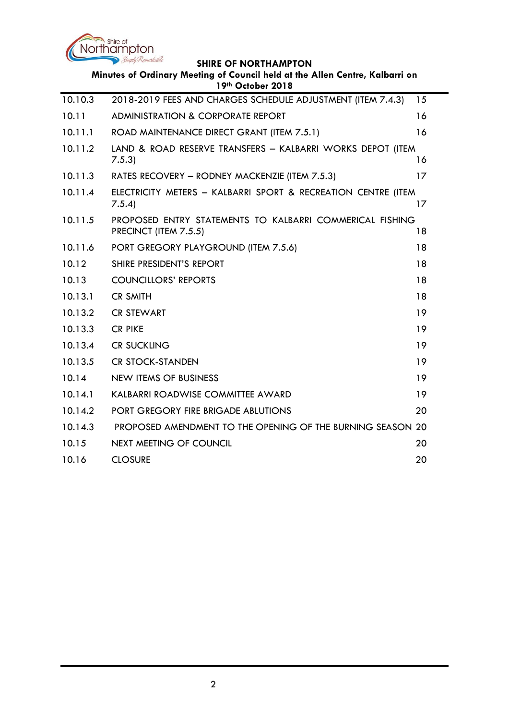

| Minutes of Ordinary Meeting of Council held at the Allen Centre, Kalbarri on<br>19th October 2018 |                                                                                   |    |  |  |
|---------------------------------------------------------------------------------------------------|-----------------------------------------------------------------------------------|----|--|--|
| 10.10.3                                                                                           | 2018-2019 FEES AND CHARGES SCHEDULE ADJUSTMENT (ITEM 7.4.3)                       | 15 |  |  |
| 10.11                                                                                             | <b>ADMINISTRATION &amp; CORPORATE REPORT</b>                                      | 16 |  |  |
| 10.11.1                                                                                           | ROAD MAINTENANCE DIRECT GRANT (ITEM 7.5.1)                                        | 16 |  |  |
| 10.11.2                                                                                           | LAND & ROAD RESERVE TRANSFERS - KALBARRI WORKS DEPOT (ITEM<br>7.5.3               | 16 |  |  |
| 10.11.3                                                                                           | RATES RECOVERY - RODNEY MACKENZIE (ITEM 7.5.3)                                    | 17 |  |  |
| 10.11.4                                                                                           | ELECTRICITY METERS - KALBARRI SPORT & RECREATION CENTRE (ITEM<br>7.5.4            | 17 |  |  |
| 10.11.5                                                                                           | PROPOSED ENTRY STATEMENTS TO KALBARRI COMMERICAL FISHING<br>PRECINCT (ITEM 7.5.5) | 18 |  |  |
| 10.11.6                                                                                           | PORT GREGORY PLAYGROUND (ITEM 7.5.6)                                              | 18 |  |  |
| 10.12                                                                                             | SHIRE PRESIDENT'S REPORT                                                          | 18 |  |  |
| 10.13                                                                                             | <b>COUNCILLORS' REPORTS</b>                                                       | 18 |  |  |
| 10.13.1                                                                                           | <b>CR SMITH</b>                                                                   | 18 |  |  |
| 10.13.2                                                                                           | <b>CR STEWART</b>                                                                 | 19 |  |  |
| 10.13.3                                                                                           | <b>CR PIKE</b>                                                                    | 19 |  |  |
| 10.13.4                                                                                           | <b>CR SUCKLING</b>                                                                | 19 |  |  |
| 10.13.5                                                                                           | <b>CR STOCK-STANDEN</b>                                                           | 19 |  |  |
| 10.14                                                                                             | <b>NEW ITEMS OF BUSINESS</b>                                                      | 19 |  |  |
| 10.14.1                                                                                           | KALBARRI ROADWISE COMMITTEE AWARD                                                 | 19 |  |  |
| 10.14.2                                                                                           | <b>PORT GREGORY FIRE BRIGADE ABLUTIONS</b>                                        | 20 |  |  |
| 10.14.3                                                                                           | PROPOSED AMENDMENT TO THE OPENING OF THE BURNING SEASON 20                        |    |  |  |
| 10.15                                                                                             | <b>NEXT MEETING OF COUNCIL</b>                                                    | 20 |  |  |
| 10.16                                                                                             | <b>CLOSURE</b>                                                                    | 20 |  |  |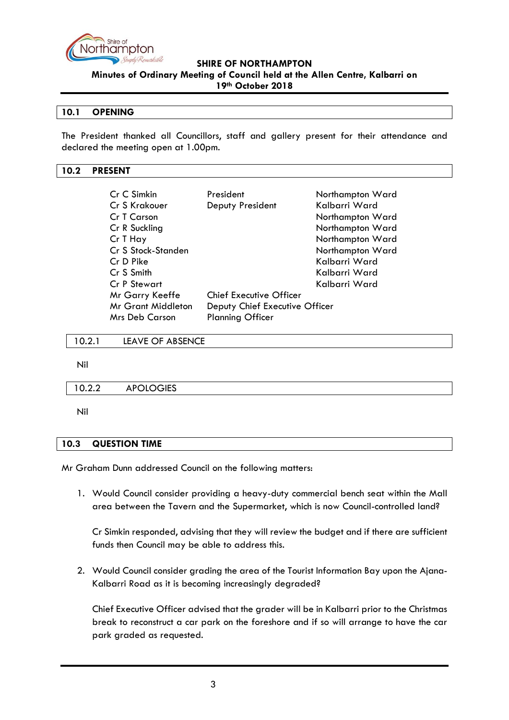

**Minutes of Ordinary Meeting of Council held at the Allen Centre, Kalbarri on** 

#### **19th October 2018**

#### <span id="page-2-0"></span>**10.1 OPENING**

The President thanked all Councillors, staff and gallery present for their attendance and declared the meeting open at 1.00pm.

#### <span id="page-2-1"></span>**10.2 PRESENT**

| Cr C Simkin         | President                      | Northampton Ward |
|---------------------|--------------------------------|------------------|
| Cr S Krakouer       | Deputy President               | Kalbarri Ward    |
| Cr T Carson         |                                | Northampton Ward |
| Cr R Suckling       |                                | Northampton Ward |
| Cr T Hay            |                                | Northampton Ward |
| Cr S Stock-Standen  |                                | Northampton Ward |
| Cr D Pike           |                                | Kalbarri Ward    |
| Cr S Smith          |                                | Kalbarri Ward    |
| <b>Cr P Stewart</b> |                                | Kalbarri Ward    |
| Mr Garry Keeffe     | Chief Executive Officer        |                  |
| Mr Grant Middleton  | Deputy Chief Executive Officer |                  |
| Mrs Deb Carson      | <b>Planning Officer</b>        |                  |

<span id="page-2-2"></span>10.2.1 LEAVE OF ABSENCE

Nil

<span id="page-2-3"></span>10.2.2 APOLOGIES

Nil

#### <span id="page-2-4"></span>**10.3 QUESTION TIME**

Mr Graham Dunn addressed Council on the following matters:

1. Would Council consider providing a heavy-duty commercial bench seat within the Mall area between the Tavern and the Supermarket, which is now Council-controlled land?

Cr Simkin responded, advising that they will review the budget and if there are sufficient funds then Council may be able to address this.

2. Would Council consider grading the area of the Tourist Information Bay upon the Ajana-Kalbarri Road as it is becoming increasingly degraded?

Chief Executive Officer advised that the grader will be in Kalbarri prior to the Christmas break to reconstruct a car park on the foreshore and if so will arrange to have the car park graded as requested.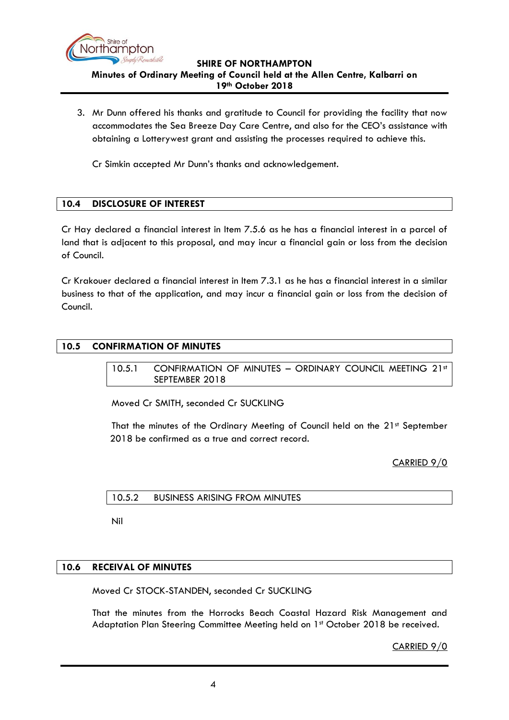

3. Mr Dunn offered his thanks and gratitude to Council for providing the facility that now accommodates the Sea Breeze Day Care Centre, and also for the CEO's assistance with obtaining a Lotterywest grant and assisting the processes required to achieve this.

Cr Simkin accepted Mr Dunn's thanks and acknowledgement.

## <span id="page-3-0"></span>**10.4 DISCLOSURE OF INTEREST**

Cr Hay declared a financial interest in Item 7.5.6 as he has a financial interest in a parcel of land that is adjacent to this proposal, and may incur a financial gain or loss from the decision of Council.

Cr Krakouer declared a financial interest in Item 7.3.1 as he has a financial interest in a similar business to that of the application, and may incur a financial gain or loss from the decision of Council.

## <span id="page-3-2"></span><span id="page-3-1"></span>**10.5 CONFIRMATION OF MINUTES**

10.5.1 CONFIRMATION OF MINUTES - ORDINARY COUNCIL MEETING 21st SEPTEMBER 2018

Moved Cr SMITH, seconded Cr SUCKLING

That the minutes of the Ordinary Meeting of Council held on the 21st September 2018 be confirmed as a true and correct record.

CARRIED 9/0

<span id="page-3-3"></span>10.5.2 BUSINESS ARISING FROM MINUTES

Nil

#### <span id="page-3-4"></span>**10.6 RECEIVAL OF MINUTES**

Moved Cr STOCK-STANDEN, seconded Cr SUCKLING

That the minutes from the Horrocks Beach Coastal Hazard Risk Management and Adaptation Plan Steering Committee Meeting held on 1st October 2018 be received.

CARRIED 9/0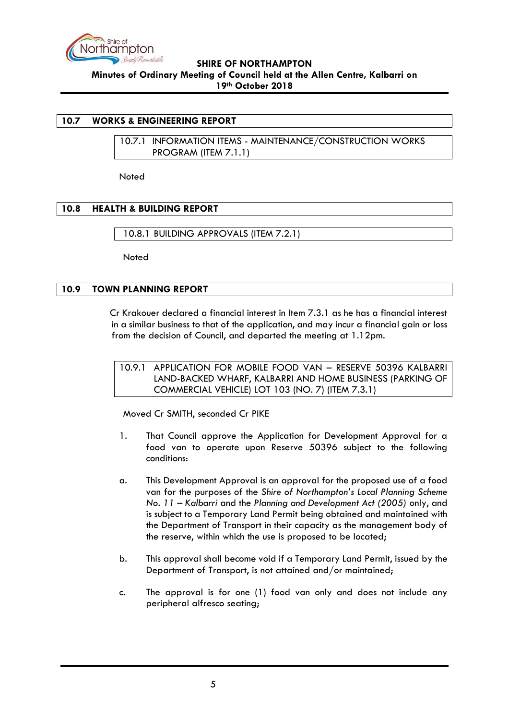

#### <span id="page-4-1"></span><span id="page-4-0"></span>**10.7 WORKS & ENGINEERING REPORT**

10.7.1 INFORMATION ITEMS - MAINTENANCE/CONSTRUCTION WORKS PROGRAM (ITEM 7.1.1)

Noted

#### <span id="page-4-2"></span>**10.8 HEALTH & BUILDING REPORT**

<span id="page-4-3"></span>10.8.1 BUILDING APPROVALS (ITEM 7.2.1)

**Noted** 

#### <span id="page-4-4"></span>**10.9 TOWN PLANNING REPORT**

Cr Krakouer declared a financial interest in Item 7.3.1 as he has a financial interest in a similar business to that of the application, and may incur a financial gain or loss from the decision of Council, and departed the meeting at 1.12pm.

<span id="page-4-5"></span>10.9.1 APPLICATION FOR MOBILE FOOD VAN – RESERVE 50396 KALBARRI LAND-BACKED WHARF, KALBARRI AND HOME BUSINESS (PARKING OF COMMERCIAL VEHICLE) LOT 103 (NO. 7) (ITEM 7.3.1)

Moved Cr SMITH, seconded Cr PIKE

- 1. That Council approve the Application for Development Approval for a food van to operate upon Reserve 50396 subject to the following conditions:
- a. This Development Approval is an approval for the proposed use of a food van for the purposes of the *Shire of Northampton's Local Planning Scheme No. 11 – Kalbarri* and the *Planning and Development Act (2005)* only, and is subject to a Temporary Land Permit being obtained and maintained with the Department of Transport in their capacity as the management body of the reserve, within which the use is proposed to be located;
- b. This approval shall become void if a Temporary Land Permit, issued by the Department of Transport, is not attained and/or maintained;
- c. The approval is for one (1) food van only and does not include any peripheral alfresco seating;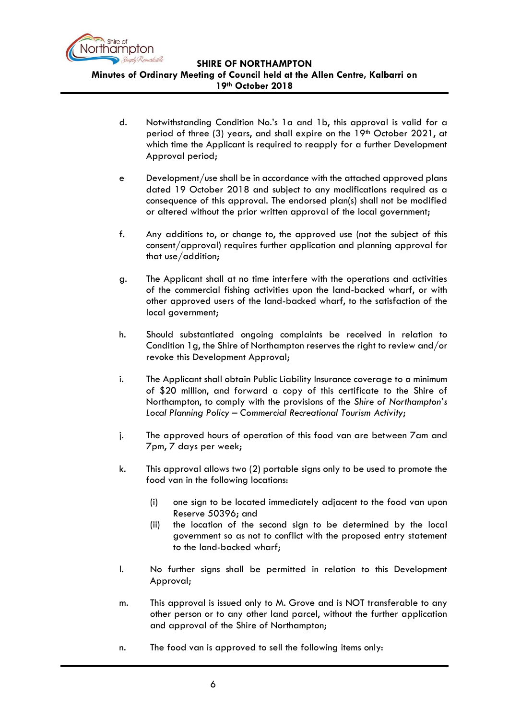

**Minutes of Ordinary Meeting of Council held at the Allen Centre, Kalbarri on** 

- **19th October 2018**
- d. Notwithstanding Condition No.'s 1a and 1b, this approval is valid for a period of three (3) years, and shall expire on the 19<sup>th</sup> October 2021, at which time the Applicant is required to reapply for a further Development Approval period;
- e Development/use shall be in accordance with the attached approved plans dated 19 October 2018 and subject to any modifications required as a consequence of this approval. The endorsed plan(s) shall not be modified or altered without the prior written approval of the local government;
- f. Any additions to, or change to, the approved use (not the subject of this consent/approval) requires further application and planning approval for that use/addition;
- g. The Applicant shall at no time interfere with the operations and activities of the commercial fishing activities upon the land-backed wharf, or with other approved users of the land-backed wharf, to the satisfaction of the local government;
- h. Should substantiated ongoing complaints be received in relation to Condition 1g, the Shire of Northampton reserves the right to review and/or revoke this Development Approval;
- i. The Applicant shall obtain Public Liability Insurance coverage to a minimum of \$20 million, and forward a copy of this certificate to the Shire of Northampton, to comply with the provisions of the *Shire of Northampton's Local Planning Policy – Commercial Recreational Tourism Activity*;
- j. The approved hours of operation of this food van are between 7am and 7pm, 7 days per week;
- k. This approval allows two (2) portable signs only to be used to promote the food van in the following locations:
	- (i) one sign to be located immediately adjacent to the food van upon Reserve 50396; and
	- (ii) the location of the second sign to be determined by the local government so as not to conflict with the proposed entry statement to the land-backed wharf;
- l. No further signs shall be permitted in relation to this Development Approval;
- m. This approval is issued only to M. Grove and is NOT transferable to any other person or to any other land parcel, without the further application and approval of the Shire of Northampton;
- n. The food van is approved to sell the following items only: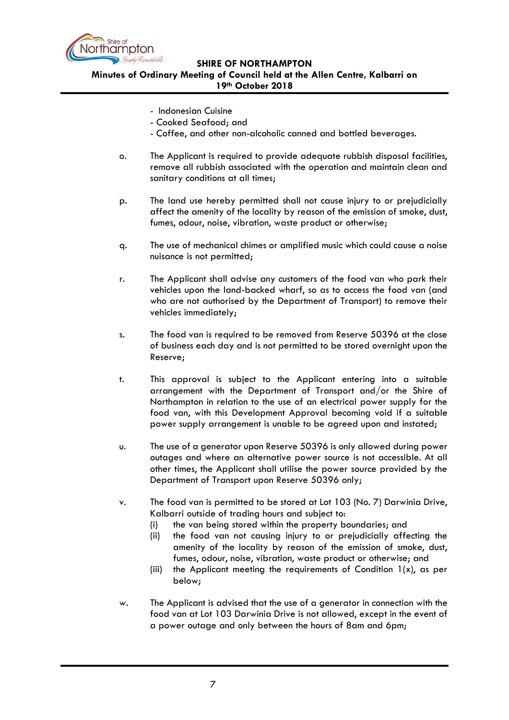

**Minutes of Ordinary Meeting of Council held at the Allen Centre, Kalbarri on 19th October 2018**

- Indonesian Cuisine
- Cooked Seafood; and
- Coffee, and other non-alcoholic canned and bottled beverages.
- o. The Applicant is required to provide adequate rubbish disposal facilities, remove all rubbish associated with the operation and maintain clean and sanitary conditions at all times;
- p. The land use hereby permitted shall not cause injury to or prejudicially affect the amenity of the locality by reason of the emission of smoke, dust, fumes, odour, noise, vibration, waste product or otherwise;
- q. The use of mechanical chimes or amplified music which could cause a noise nuisance is not permitted;
- r. The Applicant shall advise any customers of the food van who park their vehicles upon the land-backed wharf, so as to access the food van (and who are not authorised by the Department of Transport) to remove their vehicles immediately;
- s. The food van is required to be removed from Reserve 50396 at the close of business each day and is not permitted to be stored overnight upon the Reserve;
- t. This approval is subject to the Applicant entering into a suitable arrangement with the Department of Transport and/or the Shire of Northampton in relation to the use of an electrical power supply for the food van, with this Development Approval becoming void if a suitable power supply arrangement is unable to be agreed upon and instated;
- u. The use of a generator upon Reserve 50396 is only allowed during power outages and where an alternative power source is not accessible. At all other times, the Applicant shall utilise the power source provided by the Department of Transport upon Reserve 50396 only;
- v. The food van is permitted to be stored at Lot 103 (No. 7) Darwinia Drive, Kalbarri outside of trading hours and subject to:
	- (i) the van being stored within the property boundaries; and
	- (ii) the food van not causing injury to or prejudicially affecting the amenity of the locality by reason of the emission of smoke, dust, fumes, odour, noise, vibration, waste product or otherwise; and
	- (iii) the Applicant meeting the requirements of Condition  $1(x)$ , as per below;
- w. The Applicant is advised that the use of a generator in connection with the food van at Lot 103 Darwinia Drive is not allowed, except in the event of a power outage and only between the hours of 8am and 6pm;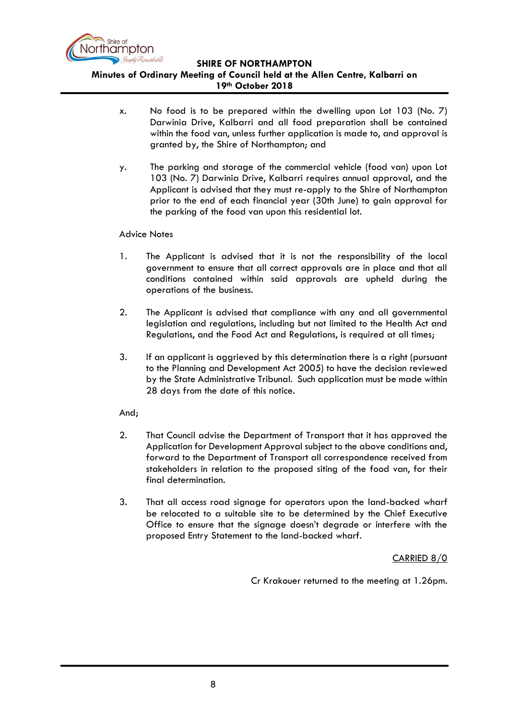

# **Minutes of Ordinary Meeting of Council held at the Allen Centre, Kalbarri on**

- **19th October 2018**
- x. No food is to be prepared within the dwelling upon Lot 103 (No. 7) Darwinia Drive, Kalbarri and all food preparation shall be contained within the food van, unless further application is made to, and approval is granted by, the Shire of Northampton; and
- y. The parking and storage of the commercial vehicle (food van) upon Lot 103 (No. 7) Darwinia Drive, Kalbarri requires annual approval, and the Applicant is advised that they must re-apply to the Shire of Northampton prior to the end of each financial year (30th June) to gain approval for the parking of the food van upon this residential lot.

#### Advice Notes

- 1. The Applicant is advised that it is not the responsibility of the local government to ensure that all correct approvals are in place and that all conditions contained within said approvals are upheld during the operations of the business.
- 2. The Applicant is advised that compliance with any and all governmental legislation and regulations, including but not limited to the Health Act and Regulations, and the Food Act and Regulations, is required at all times;
- 3. If an applicant is aggrieved by this determination there is a right (pursuant to the Planning and Development Act 2005) to have the decision reviewed by the State Administrative Tribunal. Such application must be made within 28 days from the date of this notice.

## And;

- 2. That Council advise the Department of Transport that it has approved the Application for Development Approval subject to the above conditions and, forward to the Department of Transport all correspondence received from stakeholders in relation to the proposed siting of the food van, for their final determination.
- 3. That all access road signage for operators upon the land-backed wharf be relocated to a suitable site to be determined by the Chief Executive Office to ensure that the signage doesn't degrade or interfere with the proposed Entry Statement to the land-backed wharf.

CARRIED 8/0

Cr Krakouer returned to the meeting at 1.26pm.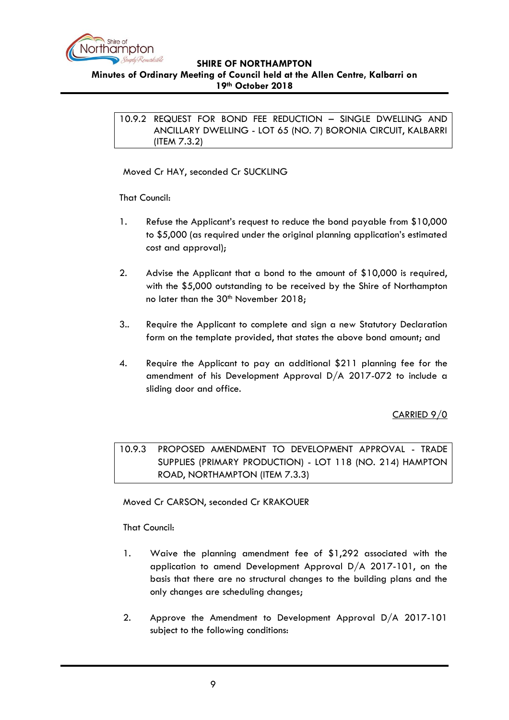

<span id="page-8-0"></span>**Minutes of Ordinary Meeting of Council held at the Allen Centre, Kalbarri on 19th October 2018**

10.9.2 REQUEST FOR BOND FEE REDUCTION – SINGLE DWELLING AND ANCILLARY DWELLING - LOT 65 (NO. 7) BORONIA CIRCUIT, KALBARRI (ITEM 7.3.2)

Moved Cr HAY, seconded Cr SUCKLING

That Council:

- 1. Refuse the Applicant's request to reduce the bond payable from \$10,000 to \$5,000 (as required under the original planning application's estimated cost and approval);
- 2. Advise the Applicant that a bond to the amount of \$10,000 is required, with the \$5,000 outstanding to be received by the Shire of Northampton no later than the 30<sup>th</sup> November 2018;
- 3.. Require the Applicant to complete and sign a new Statutory Declaration form on the template provided, that states the above bond amount; and
- 4. Require the Applicant to pay an additional \$211 planning fee for the amendment of his Development Approval D/A 2017-072 to include a sliding door and office.

CARRIED 9/0

<span id="page-8-1"></span>10.9.3 PROPOSED AMENDMENT TO DEVELOPMENT APPROVAL - TRADE SUPPLIES (PRIMARY PRODUCTION) - LOT 118 (NO. 214) HAMPTON ROAD, NORTHAMPTON (ITEM 7.3.3)

Moved Cr CARSON, seconded Cr KRAKOUER

That Council:

- 1. Waive the planning amendment fee of \$1,292 associated with the application to amend Development Approval D/A 2017-101, on the basis that there are no structural changes to the building plans and the only changes are scheduling changes;
- 2. Approve the Amendment to Development Approval D/A 2017-101 subject to the following conditions: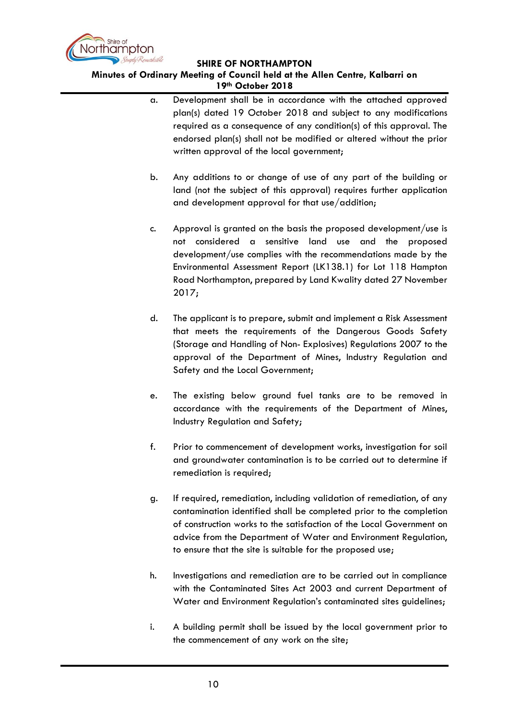

#### **Minutes of Ordinary Meeting of Council held at the Allen Centre, Kalbarri on 19th October 2018**

- a. Development shall be in accordance with the attached approved plan(s) dated 19 October 2018 and subject to any modifications required as a consequence of any condition(s) of this approval. The endorsed plan(s) shall not be modified or altered without the prior written approval of the local government;
- b. Any additions to or change of use of any part of the building or land (not the subject of this approval) requires further application and development approval for that use/addition;
- c. Approval is granted on the basis the proposed development/use is not considered a sensitive land use and the proposed development/use complies with the recommendations made by the Environmental Assessment Report (LK138.1) for Lot 118 Hampton Road Northampton, prepared by Land Kwality dated 27 November 2017;
- d. The applicant is to prepare, submit and implement a Risk Assessment that meets the requirements of the Dangerous Goods Safety (Storage and Handling of Non- Explosives) Regulations 2007 to the approval of the Department of Mines, Industry Regulation and Safety and the Local Government;
- e. The existing below ground fuel tanks are to be removed in accordance with the requirements of the Department of Mines, Industry Regulation and Safety;
- f. Prior to commencement of development works, investigation for soil and groundwater contamination is to be carried out to determine if remediation is required;
- g. If required, remediation, including validation of remediation, of any contamination identified shall be completed prior to the completion of construction works to the satisfaction of the Local Government on advice from the Department of Water and Environment Regulation, to ensure that the site is suitable for the proposed use;
- h. Investigations and remediation are to be carried out in compliance with the Contaminated Sites Act 2003 and current Department of Water and Environment Regulation's contaminated sites guidelines;
- i. A building permit shall be issued by the local government prior to the commencement of any work on the site;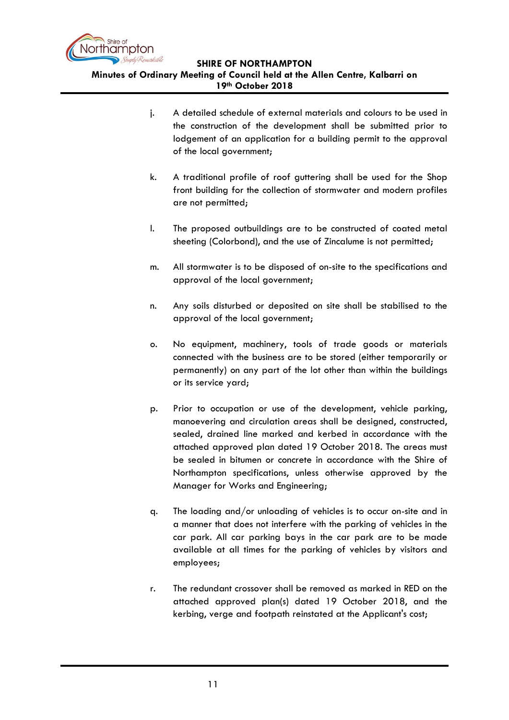

**Minutes of Ordinary Meeting of Council held at the Allen Centre, Kalbarri on 19th October 2018**

- j. A detailed schedule of external materials and colours to be used in the construction of the development shall be submitted prior to lodgement of an application for a building permit to the approval of the local government;
- k. A traditional profile of roof guttering shall be used for the Shop front building for the collection of stormwater and modern profiles are not permitted;
- l. The proposed outbuildings are to be constructed of coated metal sheeting (Colorbond), and the use of Zincalume is not permitted;
- m. All stormwater is to be disposed of on-site to the specifications and approval of the local government;
- n. Any soils disturbed or deposited on site shall be stabilised to the approval of the local government;
- o. No equipment, machinery, tools of trade goods or materials connected with the business are to be stored (either temporarily or permanently) on any part of the lot other than within the buildings or its service yard;
- p. Prior to occupation or use of the development, vehicle parking, manoevering and circulation areas shall be designed, constructed, sealed, drained line marked and kerbed in accordance with the attached approved plan dated 19 October 2018. The areas must be sealed in bitumen or concrete in accordance with the Shire of Northampton specifications, unless otherwise approved by the Manager for Works and Engineering;
- q. The loading and/or unloading of vehicles is to occur on-site and in a manner that does not interfere with the parking of vehicles in the car park. All car parking bays in the car park are to be made available at all times for the parking of vehicles by visitors and employees;
- r. The redundant crossover shall be removed as marked in RED on the attached approved plan(s) dated 19 October 2018, and the kerbing, verge and footpath reinstated at the Applicant's cost;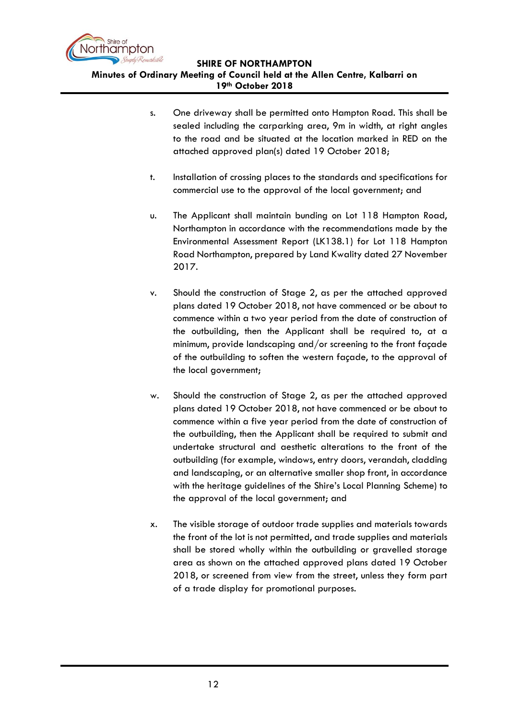

- s. One driveway shall be permitted onto Hampton Road. This shall be sealed including the carparking area, 9m in width, at right angles to the road and be situated at the location marked in RED on the attached approved plan(s) dated 19 October 2018;
- t. Installation of crossing places to the standards and specifications for commercial use to the approval of the local government; and
- u. The Applicant shall maintain bunding on Lot 118 Hampton Road, Northampton in accordance with the recommendations made by the Environmental Assessment Report (LK138.1) for Lot 118 Hampton Road Northampton, prepared by Land Kwality dated 27 November 2017.
- v. Should the construction of Stage 2, as per the attached approved plans dated 19 October 2018, not have commenced or be about to commence within a two year period from the date of construction of the outbuilding, then the Applicant shall be required to, at a minimum, provide landscaping and/or screening to the front façade of the outbuilding to soften the western façade, to the approval of the local government;
- w. Should the construction of Stage 2, as per the attached approved plans dated 19 October 2018, not have commenced or be about to commence within a five year period from the date of construction of the outbuilding, then the Applicant shall be required to submit and undertake structural and aesthetic alterations to the front of the outbuilding (for example, windows, entry doors, verandah, cladding and landscaping, or an alternative smaller shop front, in accordance with the heritage guidelines of the Shire's Local Planning Scheme) to the approval of the local government; and
- x. The visible storage of outdoor trade supplies and materials towards the front of the lot is not permitted, and trade supplies and materials shall be stored wholly within the outbuilding or gravelled storage area as shown on the attached approved plans dated 19 October 2018, or screened from view from the street, unless they form part of a trade display for promotional purposes.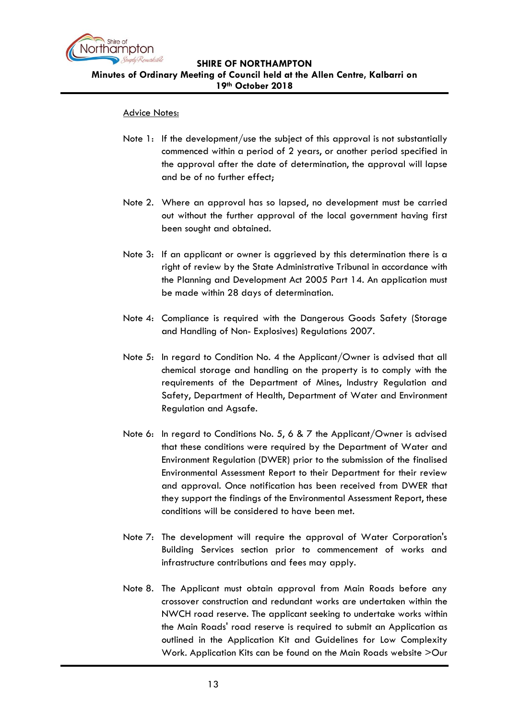

#### Advice Notes:

- Note 1: If the development/use the subject of this approval is not substantially commenced within a period of 2 years, or another period specified in the approval after the date of determination, the approval will lapse and be of no further effect;
- Note 2. Where an approval has so lapsed, no development must be carried out without the further approval of the local government having first been sought and obtained.
- Note 3: If an applicant or owner is aggrieved by this determination there is a right of review by the State Administrative Tribunal in accordance with the Planning and Development Act 2005 Part 14. An application must be made within 28 days of determination.
- Note 4: Compliance is required with the Dangerous Goods Safety (Storage and Handling of Non- Explosives) Regulations 2007.
- Note 5: In regard to Condition No. 4 the Applicant/Owner is advised that all chemical storage and handling on the property is to comply with the requirements of the Department of Mines, Industry Regulation and Safety, Department of Health, Department of Water and Environment Regulation and Agsafe.
- Note 6: In regard to Conditions No. 5, 6 & 7 the Applicant/Owner is advised that these conditions were required by the Department of Water and Environment Regulation (DWER) prior to the submission of the finalised Environmental Assessment Report to their Department for their review and approval. Once notification has been received from DWER that they support the findings of the Environmental Assessment Report, these conditions will be considered to have been met.
- Note 7: The development will require the approval of Water Corporation's Building Services section prior to commencement of works and infrastructure contributions and fees may apply.
- Note 8. The Applicant must obtain approval from Main Roads before any crossover construction and redundant works are undertaken within the NWCH road reserve. The applicant seeking to undertake works within the Main Roads' road reserve is required to submit an Application as outlined in the Application Kit and Guidelines for Low Complexity Work. Application Kits can be found on the Main Roads website >Our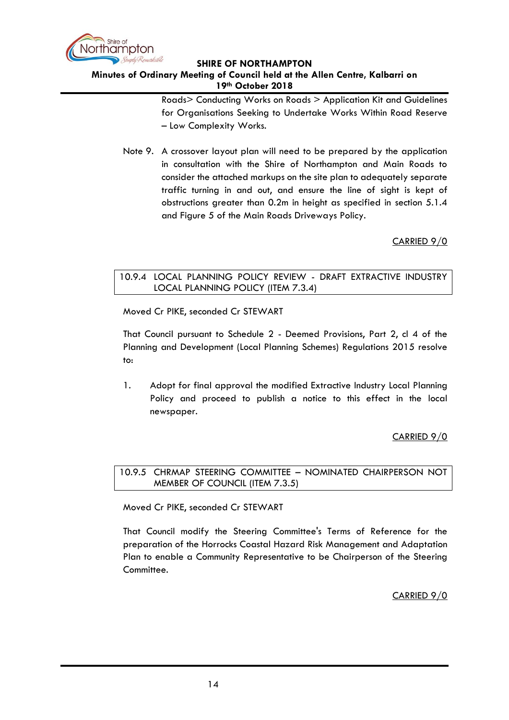

# **Minutes of Ordinary Meeting of Council held at the Allen Centre, Kalbarri on 19th October 2018**

Roads> Conducting Works on Roads > Application Kit and Guidelines for Organisations Seeking to Undertake Works Within Road Reserve – Low Complexity Works.

Note 9. A crossover layout plan will need to be prepared by the application in consultation with the Shire of Northampton and Main Roads to consider the attached markups on the site plan to adequately separate traffic turning in and out, and ensure the line of sight is kept of obstructions greater than 0.2m in height as specified in section 5.1.4 and Figure 5 of the Main Roads Driveways Policy.

# CARRIED 9/0

# <span id="page-13-0"></span>10.9.4 LOCAL PLANNING POLICY REVIEW - DRAFT EXTRACTIVE INDUSTRY LOCAL PLANNING POLICY (ITEM 7.3.4)

Moved Cr PIKE, seconded Cr STEWART

That Council pursuant to Schedule 2 - Deemed Provisions, Part 2, cl 4 of the Planning and Development (Local Planning Schemes) Regulations 2015 resolve to:

1. Adopt for final approval the modified Extractive Industry Local Planning Policy and proceed to publish a notice to this effect in the local newspaper.

## CARRIED 9/0

## <span id="page-13-1"></span>10.9.5 CHRMAP STEERING COMMITTEE – NOMINATED CHAIRPERSON NOT MEMBER OF COUNCIL (ITEM 7.3.5)

Moved Cr PIKE, seconded Cr STEWART

<span id="page-13-2"></span>That Council modify the Steering Committee's Terms of Reference for the preparation of the Horrocks Coastal Hazard Risk Management and Adaptation Plan to enable a Community Representative to be Chairperson of the Steering Committee.

CARRIED 9/0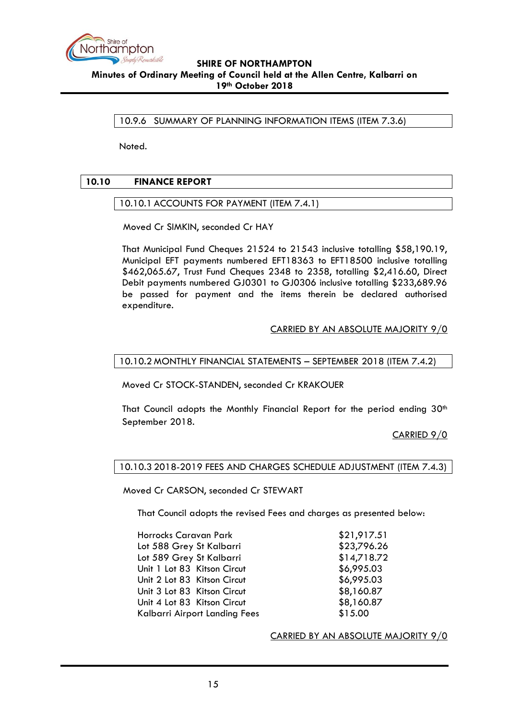

10.9.6 SUMMARY OF PLANNING INFORMATION ITEMS (ITEM 7.3.6)

Noted.

## <span id="page-14-1"></span><span id="page-14-0"></span>**10.10 FINANCE REPORT**

10.10.1 ACCOUNTS FOR PAYMENT (ITEM 7.4.1)

Moved Cr SIMKIN, seconded Cr HAY

That Municipal Fund Cheques 21524 to 21543 inclusive totalling \$58,190.19, Municipal EFT payments numbered EFT18363 to EFT18500 inclusive totalling \$462,065.67, Trust Fund Cheques 2348 to 2358, totalling \$2,416.60, Direct Debit payments numbered GJ0301 to GJ0306 inclusive totalling \$233,689.96 be passed for payment and the items therein be declared authorised expenditure.

#### CARRIED BY AN ABSOLUTE MAJORITY 9/0

## <span id="page-14-2"></span>10.10.2 MONTHLY FINANCIAL STATEMENTS – SEPTEMBER 2018 (ITEM 7.4.2)

Moved Cr STOCK-STANDEN, seconded Cr KRAKOUER

That Council adopts the Monthly Financial Report for the period ending 30<sup>th</sup> September 2018.

CARRIED 9/0

#### <span id="page-14-3"></span>10.10.3 2018-2019 FEES AND CHARGES SCHEDULE ADJUSTMENT (ITEM 7.4.3)

Moved Cr CARSON, seconded Cr STEWART

That Council adopts the revised Fees and charges as presented below:

| Horrocks Caravan Park         | \$21,917.51 |
|-------------------------------|-------------|
| Lot 588 Grey St Kalbarri      | \$23,796.26 |
| Lot 589 Grey St Kalbarri      | \$14,718.72 |
| Unit 1 Lot 83 Kitson Circut   | \$6,995.03  |
| Unit 2 Lot 83 Kitson Circut   | \$6,995.03  |
| Unit 3 Lot 83 Kitson Circut   | \$8,160.87  |
| Unit 4 Lot 83 Kitson Circut   | \$8,160.87  |
| Kalbarri Airport Landing Fees | \$15.00     |

CARRIED BY AN ABSOLUTE MAJORITY 9/0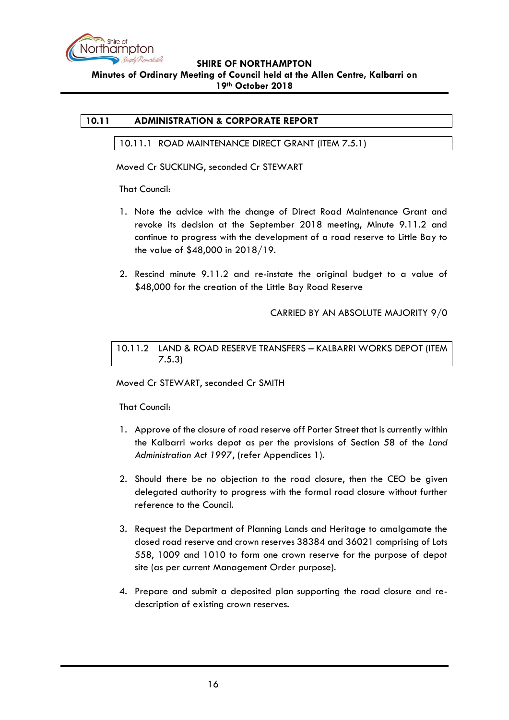

# <span id="page-15-1"></span><span id="page-15-0"></span>**10.11 ADMINISTRATION & CORPORATE REPORT**

#### 10.11.1 ROAD MAINTENANCE DIRECT GRANT (ITEM 7.5.1)

Moved Cr SUCKLING, seconded Cr STEWART

That Council:

- 1. Note the advice with the change of Direct Road Maintenance Grant and revoke its decision at the September 2018 meeting, Minute 9.11.2 and continue to progress with the development of a road reserve to Little Bay to the value of \$48,000 in 2018/19.
- 2. Rescind minute 9.11.2 and re-instate the original budget to a value of \$48,000 for the creation of the Little Bay Road Reserve

## CARRIED BY AN ABSOLUTE MAJORITY 9/0

<span id="page-15-2"></span>10.11.2 LAND & ROAD RESERVE TRANSFERS – KALBARRI WORKS DEPOT (ITEM 7.5.3)

#### Moved Cr STEWART, seconded Cr SMITH

#### That Council:

- 1. Approve of the closure of road reserve off Porter Street that is currently within the Kalbarri works depot as per the provisions of Section 58 of the *Land Administration Act 1997*, (refer Appendices 1).
- 2. Should there be no objection to the road closure, then the CEO be given delegated authority to progress with the formal road closure without further reference to the Council.
- 3. Request the Department of Planning Lands and Heritage to amalgamate the closed road reserve and crown reserves 38384 and 36021 comprising of Lots 558, 1009 and 1010 to form one crown reserve for the purpose of depot site (as per current Management Order purpose).
- 4. Prepare and submit a deposited plan supporting the road closure and redescription of existing crown reserves.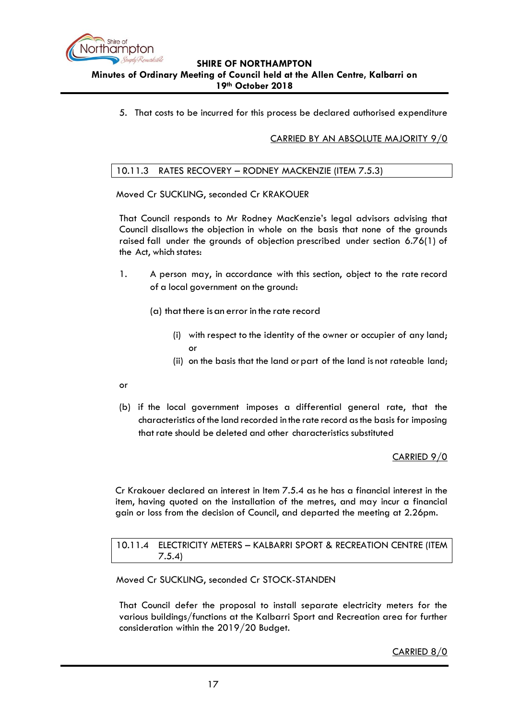

5. That costs to be incurred for this process be declared authorised expenditure

# CARRIED BY AN ABSOLUTE MAJORITY 9/0

# <span id="page-16-0"></span>10.11.3 RATES RECOVERY – RODNEY MACKENZIE (ITEM 7.5.3)

Moved Cr SUCKLING, seconded Cr KRAKOUER

That Council responds to Mr Rodney MacKenzie's legal advisors advising that Council disallows the objection in whole on the basis that none of the grounds raised fall under the grounds of objection prescribed under section 6.76(1) of the Act, which states:

- 1. A person may, in accordance with this section, object to the rate record of a local government on the ground:
	- (a) that there isan error in the rate record
		- (i) with respect to the identity of the owner or occupier of any land; or
		- (ii) on the basis that the land or part of the land is not rateable land;
- or
- (b) if the local government imposes a differential general rate, that the characteristics ofthe land recorded in the rate record asthe basis for imposing that rate should be deleted and other characteristics substituted

CARRIED 9/0

Cr Krakouer declared an interest in Item 7.5.4 as he has a financial interest in the item, having quoted on the installation of the metres, and may incur a financial gain or loss from the decision of Council, and departed the meeting at 2.26pm.

<span id="page-16-1"></span>10.11.4 ELECTRICITY METERS – KALBARRI SPORT & RECREATION CENTRE (ITEM 7.5.4)

Moved Cr SUCKLING, seconded Cr STOCK-STANDEN

That Council defer the proposal to install separate electricity meters for the various buildings/functions at the Kalbarri Sport and Recreation area for further consideration within the 2019/20 Budget.

CARRIED 8/0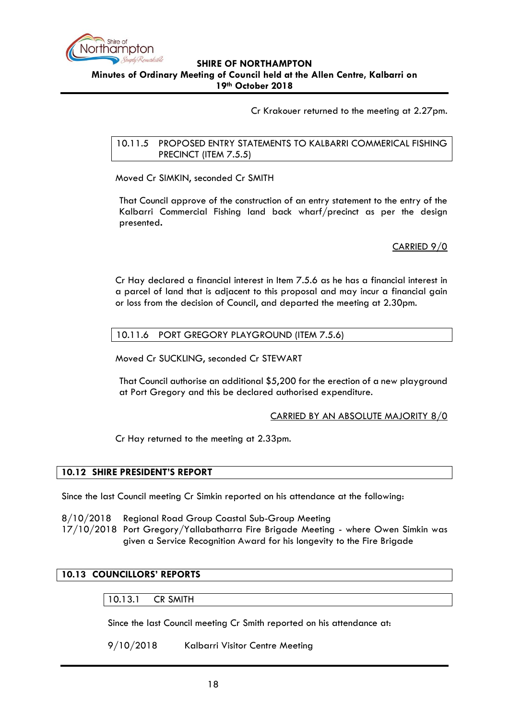

Cr Krakouer returned to the meeting at 2.27pm.

<span id="page-17-0"></span>10.11.5 PROPOSED ENTRY STATEMENTS TO KALBARRI COMMERICAL FISHING PRECINCT (ITEM 7.5.5)

Moved Cr SIMKIN, seconded Cr SMITH

That Council approve of the construction of an entry statement to the entry of the Kalbarri Commercial Fishing land back wharf/precinct as per the design presented**.**

CARRIED 9/0

Cr Hay declared a financial interest in Item 7.5.6 as he has a financial interest in a parcel of land that is adjacent to this proposal and may incur a financial gain or loss from the decision of Council, and departed the meeting at 2.30pm.

## <span id="page-17-1"></span>10.11.6 PORT GREGORY PLAYGROUND (ITEM 7.5.6)

Moved Cr SUCKLING, seconded Cr STEWART

That Council authorise an additional \$5,200 for the erection of a new playground at Port Gregory and this be declared authorised expenditure.

#### CARRIED BY AN ABSOLUTE MAJORITY 8/0

Cr Hay returned to the meeting at 2.33pm.

## <span id="page-17-2"></span>**10.12 SHIRE PRESIDENT'S REPORT**

Since the last Council meeting Cr Simkin reported on his attendance at the following:

- 8/10/2018 Regional Road Group Coastal Sub-Group Meeting
- 17/10/2018 Port Gregory/Yallabatharra Fire Brigade Meeting where Owen Simkin was given a Service Recognition Award for his longevity to the Fire Brigade

## <span id="page-17-4"></span><span id="page-17-3"></span>**10.13 COUNCILLORS' REPORTS**

#### 10.13.1 CR SMITH

Since the last Council meeting Cr Smith reported on his attendance at:

9/10/2018 Kalbarri Visitor Centre Meeting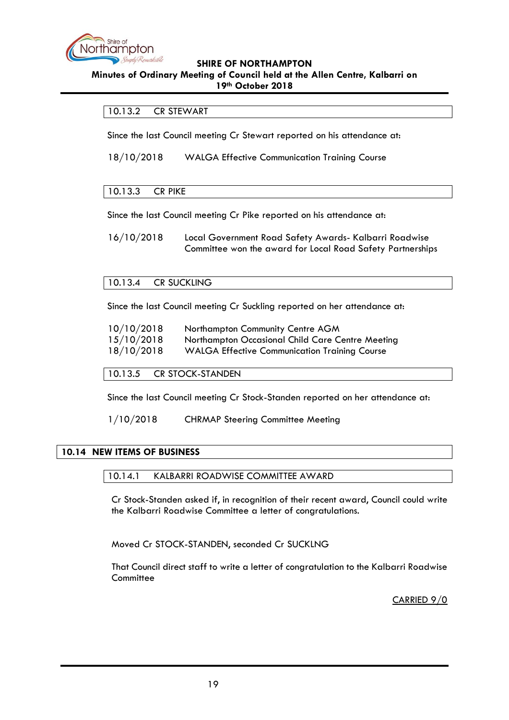

#### **Minutes of Ordinary Meeting of Council held at the Allen Centre, Kalbarri on 19th October 2018**

# <span id="page-18-0"></span>10.13.2 CR STEWART

Since the last Council meeting Cr Stewart reported on his attendance at:

18/10/2018 WALGA Effective Communication Training Course

## <span id="page-18-1"></span>10.13.3 CR PIKE

Since the last Council meeting Cr Pike reported on his attendance at:

16/10/2018 Local Government Road Safety Awards- Kalbarri Roadwise Committee won the award for Local Road Safety Partnerships

#### <span id="page-18-2"></span>10.13.4 CR SUCKLING

Since the last Council meeting Cr Suckling reported on her attendance at:

| 10/10/2018 | Northampton Community Centre AGM                     |
|------------|------------------------------------------------------|
| 15/10/2018 | Northampton Occasional Child Care Centre Meeting     |
| 18/10/2018 | <b>WALGA Effective Communication Training Course</b> |

<span id="page-18-3"></span>10.13.5 CR STOCK-STANDEN

Since the last Council meeting Cr Stock-Standen reported on her attendance at:

1/10/2018 CHRMAP Steering Committee Meeting

#### <span id="page-18-5"></span><span id="page-18-4"></span>**10.14 NEW ITEMS OF BUSINESS**

#### 10.14.1 KALBARRI ROADWISE COMMITTEE AWARD

Cr Stock-Standen asked if, in recognition of their recent award, Council could write the Kalbarri Roadwise Committee a letter of congratulations.

Moved Cr STOCK-STANDEN, seconded Cr SUCKLNG

<span id="page-18-6"></span>That Council direct staff to write a letter of congratulation to the Kalbarri Roadwise **Committee** 

CARRIED 9/0